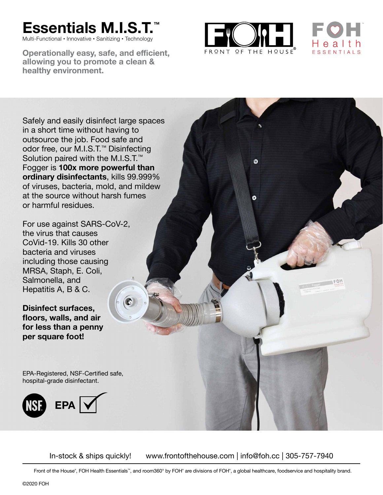## **Essentials M.I.S.T.**

Multi-Functional • Innovative • Sanitizing • Technology

**Operationally easy, safe, and efficient, allowing you to promote a clean & healthy environment.**



Q



Safely and easily disinfect large spaces in a short time without having to outsource the job. Food safe and odor free, our M.I.S.T.™ Disinfecting Solution paired with the M.I.S.T.<sup>™</sup> Fogger is **100x more powerful than ordinary disinfectants**, kills 99.999% of viruses, bacteria, mold, and mildew at the source without harsh fumes or harmful residues.

For use against SARS-CoV-2, the virus that causes CoVid-19. Kills 30 other bacteria and viruses including those causing MRSA, Staph, E. Coli, Salmonella, and Hepatitis A, B & C.

**Disinfect surfaces, floors, walls, and air for less than a penny per square foot!**

EPA-Registered, NSF-Certified safe, hospital-grade disinfectant.



In-stock & ships quickly! www.frontofthehouse.com | info@foh.cc | 305-757-7940

Front of the House®, FOH Health Essentials™, and room360° by FOH® are divisions of FOH®, a global healthcare, foodservice and hospitality brand.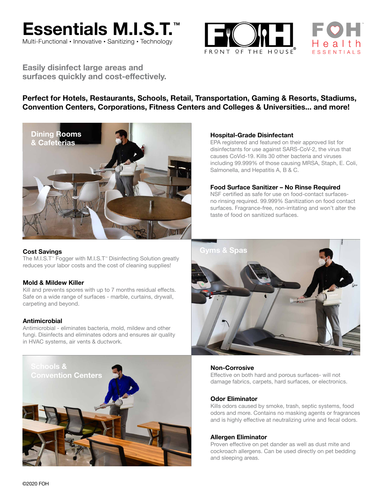





**Easily disinfect large areas and surfaces quickly and cost-effectively.**

#### **Perfect for Hotels, Restaurants, Schools, Retail, Transportation, Gaming & Resorts, Stadiums, Convention Centers, Corporations, Fitness Centers and Colleges & Universities... and more!**



#### **Cost Savings**

The M.I.S.T™ Fogger with M.I.S.T™ Disinfecting Solution greatly reduces your labor costs and the cost of cleaning supplies!

#### **Mold & Mildew Killer**

Kill and prevents spores with up to 7 months residual effects. Safe on a wide range of surfaces - marble, curtains, drywall, carpeting and beyond.

#### **Antimicrobial**

Antimicrobial - eliminates bacteria, mold, mildew and other fungi. Disinfects and eliminates odors and ensures air quality in HVAC systems, air vents & ductwork.



#### **Hospital-Grade Disinfectant**

EPA registered and featured on their approved list for disinfectants for use against SARS-CoV-2, the virus that causes CoVid-19. Kills 30 other bacteria and viruses including 99.999% of those causing MRSA, Staph, E. Coli, Salmonella, and Hepatitis A, B & C.

#### **Food Surface Sanitizer – No Rinse Required**

NSF certified as safe for use on food-contact surfacesno rinsing required. 99.999% Sanitization on food contact surfaces. Fragrance-free, non-irritating and won't alter the taste of food on sanitized surfaces.



#### **Non-Corrosive**

Effective on both hard and porous surfaces- will not damage fabrics, carpets, hard surfaces, or electronics.

#### **Odor Eliminator**

Kills odors caused by smoke, trash, septic systems, food odors and more. Contains no masking agents or fragrances and is highly effective at neutralizing urine and fecal odors.

#### **Allergen Eliminator**

Proven effective on pet dander as well as dust mite and cockroach allergens. Can be used directly on pet bedding and sleeping areas.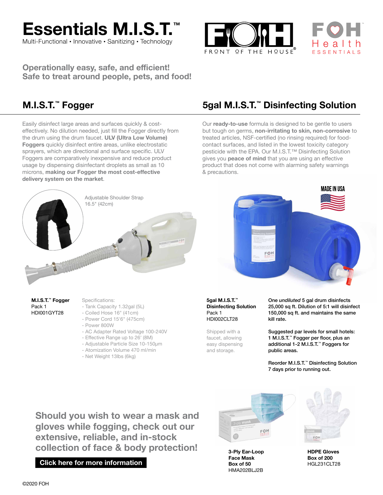

Multi-Functional • Innovative • Sanitizing • Technology

FRQNT OF THE HOUSE



**Operationally easy, safe, and efficient! Safe to treat around people, pets, and food!**

Easily disinfect large areas and surfaces quickly & costeffectively. No dilution needed, just fill the Fogger directly from the drum using the drum faucet. **ULV (Ultra Low Volume) Foggers** quickly disinfect entire areas, unlike electrostatic sprayers, which are directional and surface specific. ULV Foggers are comparatively inexpensive and reduce product usage by dispensing disinfectant droplets as small as 10 microns, **making our Fogger the most cost-effective delivery system on the market**.

### **M.I.S.T.™ Fogger 5gal M.I.S.T.™ Disinfecting Solution**

Our **ready-to-use** formula is designed to be gentle to users but tough on germs, **non-irritating to skin, non-corrosive** to treated articles, NSF-certified (no rinsing required) for foodcontact surfaces, and listed in the lowest toxicity category pesticide with the EPA. Our M.I.S.T.<sup>™</sup> Disinfecting Solution gives you **peace of mind** that you are using an effective product that does not come with alarming safety warnings & precautions.



**M.I.S.T.™ Fogger** Pack 1 HDI001GYT28

Specifications:

- Tank Capacity 1.32gal (5L)
- Coiled Hose 16" (41cm)
- Power Cord 15'6" (475cm)
- Power 800W
- AC Adapter Rated Voltage 100-240V
- Effective Range up to 26' (8M)
- Adjustable Particle Size 10-150μm
- Atomization Volume 470 ml/min
- Net Weight 13lbs (6kg)

#### **5gal M.I.S.T.™ Disinfecting Solution** Pack 1 HDI002CLT28

Shipped with a faucet, allowing easy dispensing and storage.

One *undiluted* 5 gal drum disinfects 25,000 sq ft. Dilution of 5:1 will disinfect 150,000 sq ft. and maintains the same kill rate.

Suggested par levels for small hotels: 1 M.I.S.T.™ Fogger per floor, plus an additional 1-2 M.I.S.T.™ Foggers for public areas.

Reorder M.I.S.T.™ Disinfecting Solution 7 days prior to running out.

**Should you wish to wear a mask and gloves while fogging, check out our extensive, reliable, and in-stock collection of face & body protection!**

**[Click here for more information](https://frontofthehouse.com/)**



**3-Ply Ear-Loop Face Mask Box of 50** HMA202BLJ2B



**HDPE Gloves Box of 200** HGL231CLT28